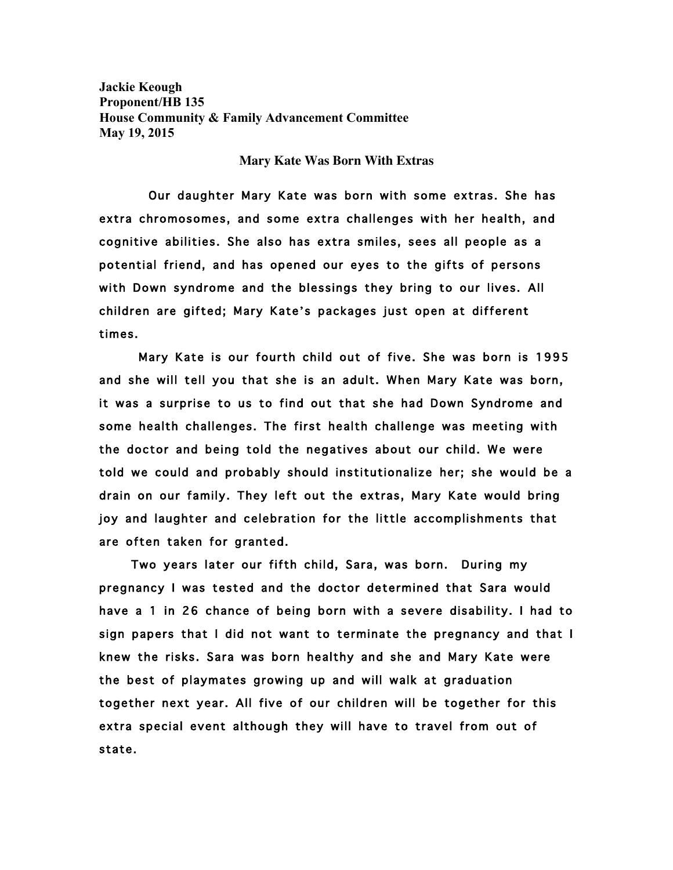**Jackie Keough Proponent/HB 135 House Community & Family Advancement Committee May 19, 2015**

**Mary Kate Was Born With Extras**

 Our daughter Mary Kate was born with some extras. She has extra chromosomes, and some extra challenges with her health, and cognitive abilities. She also has extra smiles, sees all people as a potential friend, and has opened our eyes to the gifts of persons with Down syndrome and the blessings they bring to our lives. All children are gifted; Mary Kate's packages just open at different times.

 Mary Kate is our fourth child out of five. She was born is 1995 and she will tell you that she is an adult. When Mary Kate was born, it was a surprise to us to find out that she had Down Syndrome and some health challenges. The first health challenge was meeting with the doctor and being told the negatives about our child. We were told we could and probably should institutionalize her; she would be a drain on our family. They left out the extras, Mary Kate would bring joy and laughter and celebration for the little accomplishments that are often taken for granted.

 Two years later our fifth child, Sara, was born. During my pregnancy I was tested and the doctor determined that Sara would have a 1 in 26 chance of being born with a severe disability. I had to sign papers that I did not want to terminate the pregnancy and that I knew the risks. Sara was born healthy and she and Mary Kate were the best of playmates growing up and will walk at graduation together next year. All five of our children will be together for this extra special event although they will have to travel from out of state.